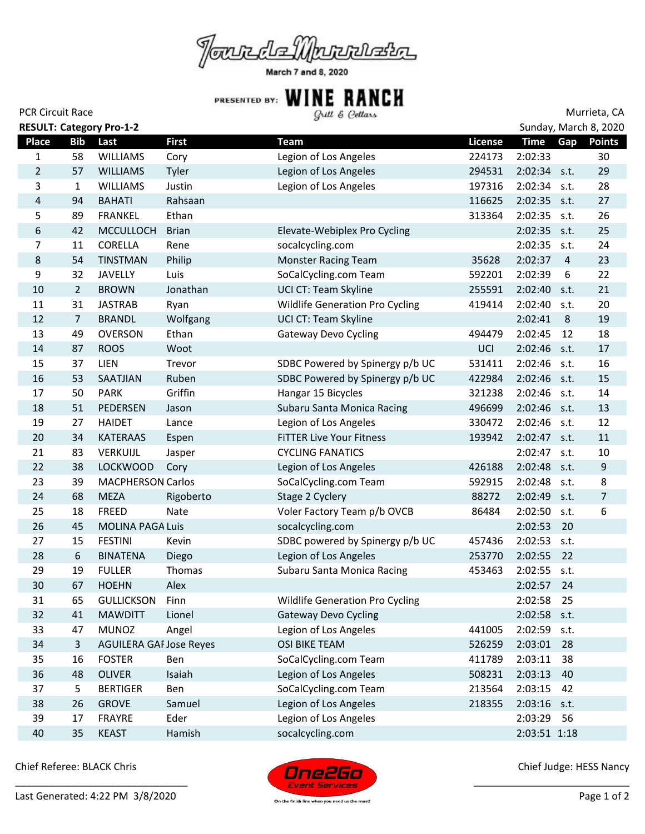

March 7 and 8, 2020

| <b>PCR Circuit Race</b> |                |                                 |              | Gull & Cellars                         |         | Murrieta, CA          |                |                  |  |
|-------------------------|----------------|---------------------------------|--------------|----------------------------------------|---------|-----------------------|----------------|------------------|--|
|                         |                | <b>RESULT: Category Pro-1-2</b> |              |                                        |         | Sunday, March 8, 2020 |                |                  |  |
| <b>Place</b>            | <b>Bib</b>     | Last                            | <b>First</b> | <b>Team</b>                            | License | <b>Time</b>           | Gap            | <b>Points</b>    |  |
| $\mathbf{1}$            | 58             | <b>WILLIAMS</b>                 | Cory         | Legion of Los Angeles                  | 224173  | 2:02:33               |                | 30               |  |
| $\overline{2}$          | 57             | <b>WILLIAMS</b>                 | Tyler        | Legion of Los Angeles                  | 294531  | $2:02:34$ s.t.        |                | 29               |  |
| 3                       | $\mathbf{1}$   | <b>WILLIAMS</b>                 | Justin       | Legion of Los Angeles                  | 197316  | 2:02:34               | s.t.           | 28               |  |
| 4                       | 94             | <b>BAHATI</b>                   | Rahsaan      |                                        | 116625  | $2:02:35$ s.t.        |                | 27               |  |
| 5                       | 89             | <b>FRANKEL</b>                  | Ethan        |                                        | 313364  | 2:02:35               | s.t.           | 26               |  |
| 6                       | 42             | <b>MCCULLOCH</b>                | <b>Brian</b> | Elevate-Webiplex Pro Cycling           |         | 2:02:35 s.t.          |                | 25               |  |
| 7                       | 11             | CORELLA                         | Rene         | socalcycling.com                       |         | 2:02:35               | s.t.           | 24               |  |
| 8                       | 54             | <b>TINSTMAN</b>                 | Philip       | <b>Monster Racing Team</b>             | 35628   | 2:02:37               | $\overline{a}$ | 23               |  |
| 9                       | 32             | <b>JAVELLY</b>                  | Luis         | SoCalCycling.com Team                  | 592201  | 2:02:39               | 6              | 22               |  |
| 10                      | $\overline{2}$ | <b>BROWN</b>                    | Jonathan     | UCI CT: Team Skyline                   | 255591  | 2:02:40               | s.t.           | 21               |  |
| 11                      | 31             | <b>JASTRAB</b>                  | Ryan         | <b>Wildlife Generation Pro Cycling</b> | 419414  | 2:02:40               | s.t.           | 20               |  |
| 12                      | $\overline{7}$ | <b>BRANDL</b>                   | Wolfgang     | UCI CT: Team Skyline                   |         | 2:02:41               | 8              | 19               |  |
| 13                      | 49             | <b>OVERSON</b>                  | Ethan        | <b>Gateway Devo Cycling</b>            | 494479  | 2:02:45               | 12             | 18               |  |
| 14                      | 87             | <b>ROOS</b>                     | Woot         |                                        | UCI     | 2:02:46               | s.t.           | 17               |  |
| 15                      | 37             | LIEN                            | Trevor       | SDBC Powered by Spinergy p/b UC        | 531411  | 2:02:46               | s.t.           | 16               |  |
| 16                      | 53             | <b>SAATJIAN</b>                 | Ruben        | SDBC Powered by Spinergy p/b UC        | 422984  | $2:02:46$ s.t.        |                | 15               |  |
| 17                      | 50             | <b>PARK</b>                     | Griffin      | Hangar 15 Bicycles                     | 321238  | 2:02:46               | s.t.           | 14               |  |
| 18                      | 51             | <b>PEDERSEN</b>                 | Jason        | Subaru Santa Monica Racing             | 496699  | 2:02:46 s.t.          |                | 13               |  |
| 19                      | 27             | <b>HAIDET</b>                   | Lance        | Legion of Los Angeles                  | 330472  | 2:02:46 s.t.          |                | 12               |  |
| 20                      | 34             | <b>KATERAAS</b>                 | Espen        | <b>FITTER Live Your Fitness</b>        | 193942  | 2:02:47               | s.t.           | 11               |  |
| 21                      | 83             | VERKUIJL                        | Jasper       | <b>CYCLING FANATICS</b>                |         | 2:02:47               | s.t.           | 10               |  |
| 22                      | 38             | <b>LOCKWOOD</b>                 | Cory         | Legion of Los Angeles                  | 426188  | 2:02:48 s.t.          |                | $9\,$            |  |
| 23                      | 39             | <b>MACPHERSON Carlos</b>        |              | SoCalCycling.com Team                  | 592915  | 2:02:48               | s.t.           | 8                |  |
| 24                      | 68             | <b>MEZA</b>                     | Rigoberto    | Stage 2 Cyclery                        | 88272   | 2:02:49               | s.t.           | $\overline{7}$   |  |
| 25                      | 18             | <b>FREED</b>                    | Nate         | Voler Factory Team p/b OVCB            | 86484   | 2:02:50               | s.t.           | $\boldsymbol{6}$ |  |
| 26                      | 45             | <b>MOLINA PAGA Luis</b>         |              | socalcycling.com                       |         | 2:02:53               | 20             |                  |  |
| 27                      | 15             | <b>FESTINI</b>                  | Kevin        | SDBC powered by Spinergy p/b UC        | 457436  | 2:02:53               | s.t.           |                  |  |
| 28                      | $6\,$          | <b>BINATENA</b>                 | Diego        | Legion of Los Angeles                  | 253770  | 2:02:55               | 22             |                  |  |
| 29                      | 19             | <b>FULLER</b>                   | Thomas       | Subaru Santa Monica Racing             | 453463  | 2:02:55 s.t.          |                |                  |  |
| 30                      | 67             | <b>HOEHN</b>                    | Alex         |                                        |         | 2:02:57               | 24             |                  |  |
| 31                      | 65             | <b>GULLICKSON</b>               | Finn         | <b>Wildlife Generation Pro Cycling</b> |         | 2:02:58               | 25             |                  |  |
| 32                      | 41             | <b>MAWDITT</b>                  | Lionel       | <b>Gateway Devo Cycling</b>            |         | 2:02:58               | s.t.           |                  |  |
| 33                      | 47             | <b>MUNOZ</b>                    | Angel        | Legion of Los Angeles                  | 441005  | 2:02:59               | s.t.           |                  |  |
| 34                      | 3              | <b>AGUILERA GAF Jose Reyes</b>  |              | <b>OSI BIKE TEAM</b>                   | 526259  | 2:03:01               | 28             |                  |  |
| 35                      | 16             | <b>FOSTER</b>                   | Ben          | SoCalCycling.com Team                  | 411789  | 2:03:11               | 38             |                  |  |
| 36                      | 48             | <b>OLIVER</b>                   | Isaiah       | Legion of Los Angeles                  | 508231  | 2:03:13               | 40             |                  |  |
| 37                      | 5              | <b>BERTIGER</b>                 | Ben          | SoCalCycling.com Team                  | 213564  | 2:03:15               | 42             |                  |  |
| 38                      | 26             | <b>GROVE</b>                    | Samuel       | Legion of Los Angeles                  | 218355  | $2:03:16$ s.t.        |                |                  |  |
| 39                      | 17             | FRAYRE                          | Eder         | Legion of Los Angeles                  |         | 2:03:29               | 56             |                  |  |
| 40                      | 35             | <b>KEAST</b>                    | Hamish       | socalcycling.com                       |         | 2:03:51 1:18          |                |                  |  |

Chief Referee: BLACK Chris



Chief Judge: HESS Nancy

\_\_\_\_\_\_\_\_\_\_\_\_\_\_\_\_\_\_\_\_\_\_\_\_\_\_\_\_

On the finish line when you need us the most!